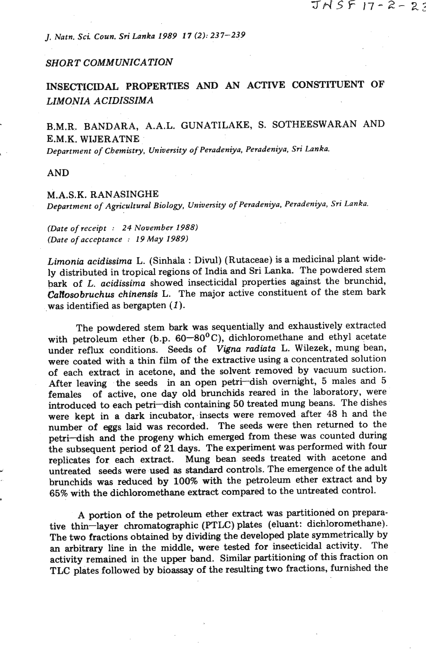*J. Natn. Sci Coun. Sri Lanka 1989 17 (2): 237-239* 

## *SHORT COMMUNICATION*

**INSECTICIDAL PROPERTIES AND AN ACTIVE CONSTITUENT OF**  *LIMONIA A CIDISSIMA* 

B.M.R. BANDARA, A.A.L. GUNATILAKE, S. SOTHEESWARAN AND E.M.K. WIJERATNE

*Department of Chemistry, University of Peradeniya. Peradeniya, Sri Lanka.* 

AND

## M.A.S.K. RANASINGHE

*Department of Agricultural Biology, University of Peradeniya, Peradeniya, Sri Lanka.* 

*(Date of receipt* : *24 November 1988) (Date of acceptance* : *19 May 1989)* 

*Limonia acidissima L.* (Sinhala : Divul) (Rutaceae) is a medicinal plant widely distributed in tropical regions of India and Sri Lanka. The powdered stem bark of *L. acidissima* showed insecticidal properties against the brunchid, *CaIfosobruchus chinensis* L. The major active constituent of the stem bark was identified as bergapten *(I).* 

The powdered stem bark was sequentially and exhaustively extracted with petroleum ether (b.p. 60–80°C), dichloromethane and ethyl acetate under reflux conditions. Seeds of *Vigna radiata* L. Wilezek, mung bean, were coated with a thin film of the extractive using a concentrated solution of each extract in acetone, and the solvent removed by vacuum suction. After leaving the seeds in an open petri-dish overnight, 5 males and 5 females of active, one day old brunchids reared in the laboratory, were introduced to each petri-dish containing 50 treated mung beans. The dishes were kept in a dark incubator, insects were removed after 48 h and the number of eggs laid was recorded. The seeds were then returned to the petri-dish and the progeny which emerged from these was counted during the subsequent period of 21 days. The experiment was performed with four replicates for each extract. Mung bean seeds treated with acetone and untreated seeds were used as standard controls. The emergence of the adult brunchids was reduced by 100% with the petroleum ether extract and by 65% with the dichloromethane extract compared to the untreated control.

A portion of the petroleum ether extract was partitioned on preparative thin-layer chromatographic (PTLC) plates (eluant: dichloromethane). The two fractions obtained by dividing the developed plate symmetrically by an arbitrary line in the middle, were tested for insecticidal activity. The activity remained in the upper band. Similar partitioning of this fraction on TLC plates followed by bioassay of the resulting two fractions, furnished the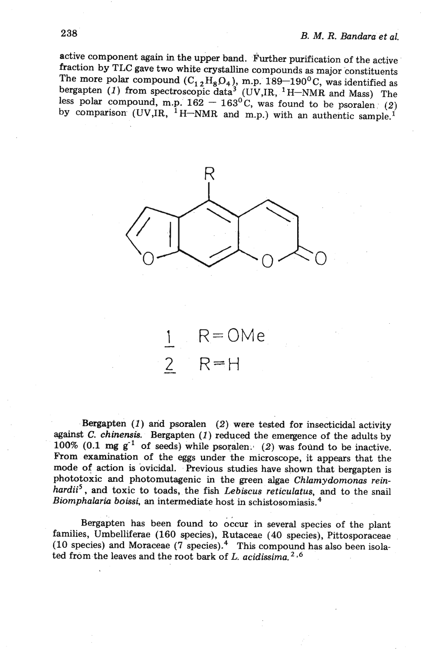active component again in the upper band. Further purification of the active fraction by TLC gave two white crystalline compounds as major constituents The more polar compound  $(C_1 \nvert_2 H_8 O_4)$ , m.p.  $189-190^{\circ}$ C, was identified as the more polar compound  $(C_1 \nvert_2 H_8 O_4)$ , m.p.  $189-190^{\circ}$ C, was identified as bergapten (1) from spectroscopic data<sup>3</sup> (UV,IR, <sup>1</sup>H-NMR bergapten (1) from spectroscopic data<sup>3</sup> (UV, IR, <sup>1</sup>H-NMR and Mass) The<br>less polar compound, m.p.  $162 - 163^{\circ}$ C, was found to be psoralen (2) less polar compound, m.p.  $162 - 163^{\circ}$ C, was found to be psoralen (2) by comparison (UV,IR, <sup>1</sup>H-NMR and m.p.) with an authentic sample.<sup>1</sup>



 $R = OMe$  $\overline{2}$  $R=H$ 

Bergapten  $(1)$  and psoralen  $(2)$  were tested for insecticidal activity against  $C$ . chinensis. Bergapten  $(1)$  reduced the emergence of the adults by 100% (0.1  $mg g^{-1}$  of seeds) while psoralen. (2) was found to be inactive. From examination of the eggs under the microscope, it appears that the mode of action is ovicidal. Previous studies have shown that bergapten is phototoxic and photomutagenic in the green algae Chlamydomonas reinhardii<sup>5</sup>, and toxic to toads, the fish Lebiscus reticulatus, and to the snail Biomphalaria boissi, an intermediate host in schistosomiasis. $^{4}$ 

Bergapten has been found to occur in several species of the plant families, Umbelliferae (160 species), Rutaceae (40 species), Pittosporaceae (10 species) and Moraceae (7 species).<sup>4</sup> This compound has also been isolated from the leaves and the root bark of  $L$ . acidissima.<sup>2,6</sup>